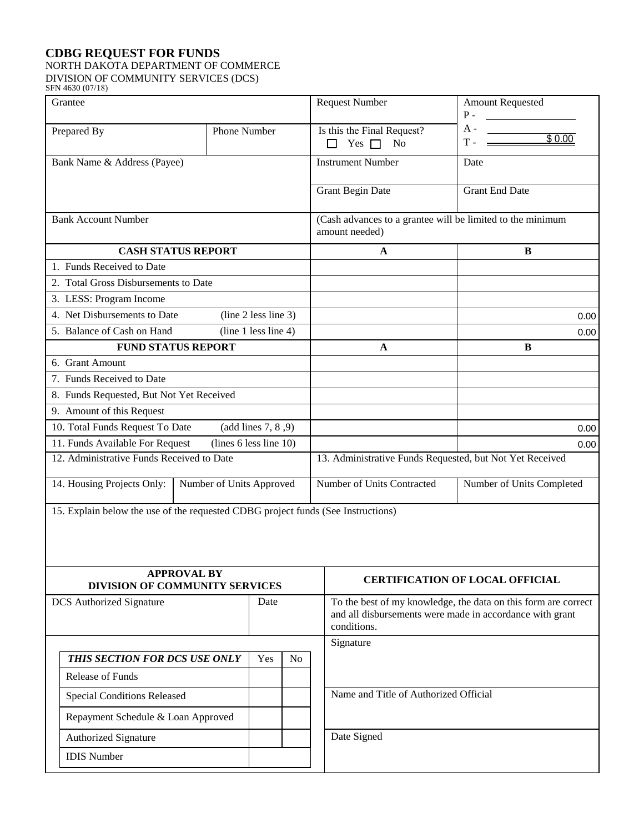## **CDBG REQUEST FOR FUNDS** NORTH DAKOTA DEPARTMENT OF COMMERCE DIVISION OF COMMUNITY SERVICES (DCS)

IDIS Number

| SFN 4630 (07/18)                                                                 |              |                                                                                                                                           |                                                                              |                                        |
|----------------------------------------------------------------------------------|--------------|-------------------------------------------------------------------------------------------------------------------------------------------|------------------------------------------------------------------------------|----------------------------------------|
| Grantee                                                                          |              |                                                                                                                                           | <b>Request Number</b>                                                        | Amount Requested<br>$P -$              |
| Prepared By                                                                      | Phone Number |                                                                                                                                           | Is this the Final Request?<br>Yes $\Box$<br>N <sub>0</sub><br>П              | A -<br>\$0.00<br>т.                    |
| Bank Name & Address (Payee)                                                      |              |                                                                                                                                           | <b>Instrument Number</b>                                                     | Date                                   |
|                                                                                  |              |                                                                                                                                           | <b>Grant Begin Date</b>                                                      | <b>Grant End Date</b>                  |
| <b>Bank Account Number</b>                                                       |              |                                                                                                                                           | (Cash advances to a grantee will be limited to the minimum<br>amount needed) |                                        |
| <b>CASH STATUS REPORT</b>                                                        |              |                                                                                                                                           | A                                                                            | B                                      |
| 1. Funds Received to Date                                                        |              |                                                                                                                                           |                                                                              |                                        |
| 2. Total Gross Disbursements to Date                                             |              |                                                                                                                                           |                                                                              |                                        |
| 3. LESS: Program Income                                                          |              |                                                                                                                                           |                                                                              |                                        |
| 4. Net Disbursements to Date<br>(line 2 less line 3)                             |              |                                                                                                                                           |                                                                              | 0.00                                   |
| (line 1 less line 4)<br>5. Balance of Cash on Hand                               |              |                                                                                                                                           |                                                                              | 0.00                                   |
| <b>FUND STATUS REPORT</b>                                                        |              |                                                                                                                                           | A                                                                            | B                                      |
| 6. Grant Amount                                                                  |              |                                                                                                                                           |                                                                              |                                        |
| 7. Funds Received to Date                                                        |              |                                                                                                                                           |                                                                              |                                        |
| 8. Funds Requested, But Not Yet Received                                         |              |                                                                                                                                           |                                                                              |                                        |
| 9. Amount of this Request                                                        |              |                                                                                                                                           |                                                                              |                                        |
| 10. Total Funds Request To Date<br>(add lines 7, 8, 9)                           |              |                                                                                                                                           |                                                                              | 0.00                                   |
| (lines 6 less line 10)<br>11. Funds Available For Request                        |              |                                                                                                                                           |                                                                              | 0.00                                   |
| 12. Administrative Funds Received to Date                                        |              |                                                                                                                                           | 13. Administrative Funds Requested, but Not Yet Received                     |                                        |
| 14. Housing Projects Only:<br>Number of Units Approved                           |              |                                                                                                                                           | Number of Units Contracted                                                   | Number of Units Completed              |
| 15. Explain below the use of the requested CDBG project funds (See Instructions) |              |                                                                                                                                           |                                                                              |                                        |
| <b>APPROVAL BY</b><br><b>DIVISION OF COMMUNITY SERVICES</b>                      |              |                                                                                                                                           |                                                                              | <b>CERTIFICATION OF LOCAL OFFICIAL</b> |
| Date<br><b>DCS</b> Authorized Signature                                          |              | To the best of my knowledge, the data on this form are correct<br>and all disbursements were made in accordance with grant<br>conditions. |                                                                              |                                        |
|                                                                                  |              |                                                                                                                                           | Signature                                                                    |                                        |
| THIS SECTION FOR DCS USE ONLY                                                    | Yes          | N <sub>0</sub>                                                                                                                            |                                                                              |                                        |
| <b>Release of Funds</b>                                                          |              |                                                                                                                                           |                                                                              |                                        |
| <b>Special Conditions Released</b>                                               |              |                                                                                                                                           | Name and Title of Authorized Official                                        |                                        |
| Repayment Schedule & Loan Approved                                               |              |                                                                                                                                           |                                                                              |                                        |
| Authorized Signature                                                             |              |                                                                                                                                           | Date Signed                                                                  |                                        |